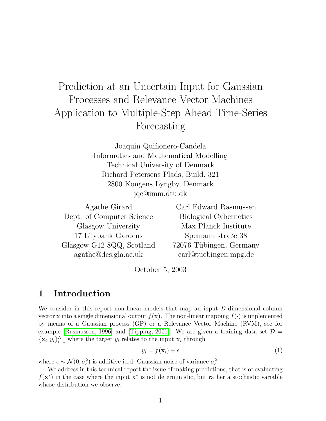# Prediction at an Uncertain Input for Gaussian Processes and Relevance Vector Machines Application to Multiple-Step Ahead Time-Series Forecasting

Joaquin Quiñonero-Candela Informatics and Mathematical Modelling Technical University of Denmark Richard Petersens Plads, Build. 321 2800 Kongens Lyngby, Denmark jqc@imm.dtu.dk

| Carl Edward Rasmussen                  |
|----------------------------------------|
| Biological Cybernetics                 |
| Max Planck Institute                   |
| Spemann straße 38                      |
| 72076 Tübingen, Germany                |
| $\operatorname{carl@tuebingen.mpg.de}$ |
|                                        |

October 5, 2003

# 1 Introduction

We consider in this report non-linear models that map an input D-dimensional column vector **x** into a single dimensional output  $f(\mathbf{x})$ . The non-linear mapping  $f(\cdot)$  is implemented by means of a Gaussian process (GP) or a Relevance Vector Machine (RVM), see for example [\[Rasmussen, 1996\]](#page-13-0) and [\[Tipping, 2001\]](#page-13-1). We are given a training data set  $\mathcal{D} =$  $\{\mathbf x_i, y_i\}_{i=1}^N$  where the target  $y_i$  relates to the input  $\mathbf x_i$  through

<span id="page-0-0"></span>
$$
y_i = f(\mathbf{x}_i) + \epsilon \tag{1}
$$

where  $\epsilon \sim \mathcal{N}(0, \sigma_{\epsilon}^2)$  is additive i.i.d. Gaussian noise of variance  $\sigma_{\epsilon}^2$ .

We address in this technical report the issue of making predictions, that is of evaluating  $f(\mathbf{x}^*)$  in the case where the input  $\mathbf{x}^*$  is not deterministic, but rather a stochastic variable whose distribution we observe.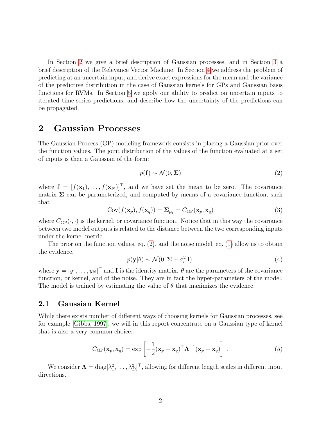In Section [2](#page-1-0) we give a brief description of Gaussian processes, and in Section [3](#page-2-0) a brief description of the Relevance Vector Machine. In Section [4](#page-4-0) we address the problem of predicting at an uncertain input, and derive exact expressions for the mean and the variance of the predictive distribution in the case of Gaussian kernels for GPs and Gaussian basis functions for RVMs. In Section [5](#page-9-0) we apply our ability to predict on uncertain inputs to iterated time-series predictions, and describe how the uncertainty of the predictions can be propagated.

# <span id="page-1-0"></span>2 Gaussian Processes

The Gaussian Process (GP) modeling framework consists in placing a Gaussian prior over the function values. The joint distribution of the values of the function evaluated at a set of inputs is then a Gaussian of the form:

<span id="page-1-1"></span>
$$
p(\mathbf{f}) \sim \mathcal{N}(0, \Sigma) \tag{2}
$$

where  $f = [f(\mathbf{x}_1), \dots, f(\mathbf{x}_N)]^\top$ , and we have set the mean to be zero. The covariance matrix  $\Sigma$  can be parameterized, and computed by means of a covariance function, such that

$$
Cov(f(\mathbf{x}_p), f(\mathbf{x}_q)) = \Sigma_{pq} = C_{GP}(\mathbf{x}_p, \mathbf{x}_q)
$$
\n(3)

where  $C_{\text{GP}}(\cdot, \cdot)$  is the kernel, or covariance function. Notice that in this way the covariance between two model outputs is related to the distance between the two corresponding inputs under the kernel metric.

<span id="page-1-2"></span>The prior on the function values, eq. [\(2\)](#page-1-1), and the noise model, eq. [\(1\)](#page-0-0) allow us to obtain the evidence,

$$
p(\mathbf{y}|\theta) \sim \mathcal{N}(0, \Sigma + \sigma_{\epsilon}^2 \mathbf{I}),
$$
\n(4)

where  $\mathbf{y} = [y_1, \dots, y_N]^\top$  and **I** is the identity matrix.  $\theta$  are the parameters of the covariance function, or kernel, and of the noise. They are in fact the hyper-parameters of the model. The model is trained by estimating the value of  $\theta$  that maximizes the evidence.

### 2.1 Gaussian Kernel

While there exists number of different ways of choosing kernels for Gaussian processes, see for example [\[Gibbs, 1997\]](#page-13-2), we will in this report concentrate on a Gaussian type of kernel that is also a very common choice:

<span id="page-1-3"></span>
$$
C_{\text{GP}}(\mathbf{x}_p, \mathbf{x}_q) = \exp\left[-\frac{1}{2}(\mathbf{x}_p - \mathbf{x}_q)^\top \mathbf{\Lambda}^{-1}(\mathbf{x}_p - \mathbf{x}_q)\right],\tag{5}
$$

We consider  $\Lambda = \text{diag}[\lambda_1^2, \ldots, \lambda_D^2]^\top$ , allowing for different length scales in different input directions.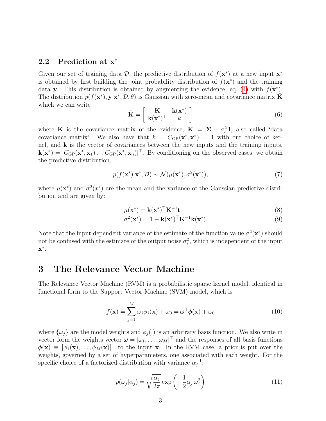## <span id="page-2-1"></span>2.2 Prediction at x<sup>\*</sup>

Given our set of training data  $\mathcal{D}$ , the predictive distribution of  $f(\mathbf{x}^*)$  at a new input  $\mathbf{x}^*$ is obtained by first building the joint probability distribution of  $f(\mathbf{x}^*)$  and the training data y. This distribution is obtained by augmenting the evidence, eq. [\(4\)](#page-1-2) with  $f(\mathbf{x}^*)$ . The distribution  $p(f(\mathbf{x}^*), \mathbf{y} | \mathbf{x}^*, \mathcal{D}, \theta)$  is Gaussian with zero-mean and covariance matrix  $\tilde{\mathbf{K}}$ which we can write

$$
\tilde{\mathbf{K}} = \begin{bmatrix} \mathbf{K} & \mathbf{k}(\mathbf{x}^*) \\ \mathbf{k}(\mathbf{x}^*)^\top & k \end{bmatrix}
$$
 (6)

where **K** is the covariance matrix of the evidence,  $\mathbf{K} = \Sigma + \sigma_{\epsilon}^2 \mathbf{I}$ , also called 'data covariance matrix'. We also have that  $k = C_{GP}(\mathbf{x}^*, \mathbf{x}^*) = 1$  with our choice of kernel, and  $k$  is the vector of covariances between the new inputs and the training inputs,  $\mathbf{k}(\mathbf{x}^*) = [C_{\text{GP}}(\mathbf{x}^*, \mathbf{x}_1) \dots C_{\text{GP}}(\mathbf{x}^*, \mathbf{x}_n)]^\top$ . By conditioning on the observed cases, we obtain the predictive distribution,

$$
p(f(\mathbf{x}^*)|\mathbf{x}^*, \mathcal{D}) \sim \mathcal{N}(\mu(\mathbf{x}^*), \sigma^2(\mathbf{x}^*)),
$$
\n(7)

where  $\mu(\mathbf{x}^*)$  and  $\sigma^2(x^*)$  are the mean and the variance of the Gaussian predictive distribution and are given by:

$$
\mu(\mathbf{x}^*) = \mathbf{k}(\mathbf{x}^*)^\top \mathbf{K}^{-1} \mathbf{t} \tag{8}
$$

<span id="page-2-2"></span>
$$
\sigma^2(\mathbf{x}^*) = 1 - \mathbf{k}(\mathbf{x}^*)^\top \mathbf{K}^{-1} \mathbf{k}(\mathbf{x}^*).
$$
\n(9)

Note that the input dependent variance of the estimate of the function value  $\sigma^2(\mathbf{x}^*)$  should not be confused with the estimate of the output noise  $\sigma_{\epsilon}^2$ , which is independent of the input  $\mathbf{x}^*$  .

# <span id="page-2-0"></span>3 The Relevance Vector Machine

The Relevance Vector Machine (RVM) is a probabilistic sparse kernel model, identical in functional form to the Support Vector Machine (SVM) model, which is

$$
f(\mathbf{x}) = \sum_{j=1}^{M} \omega_j \phi_j(\mathbf{x}) + \omega_0 = \boldsymbol{\omega}^\top \boldsymbol{\phi}(\mathbf{x}) + \omega_0
$$
 (10)

where  $\{\omega_j\}$  are the model weights and  $\phi_j(.)$  is an arbitrary basis function. We also write in vector form the weights vector  $\boldsymbol{\omega} = [\omega_1, \dots, \omega_M]^\top$  and the responses of all basis functions  $\phi(\mathbf{x}) \equiv [\phi_1(\mathbf{x}), \ldots, \phi_M(\mathbf{x})]^\top$  to the input x. In the RVM case, a prior is put over the weights, governed by a set of hyperparameters, one associated with each weight. For the specific choice of a factorized distribution with variance  $\alpha_i^{-1}$  $^{-1}_{j}$ :

$$
p(\omega_j|\alpha_j) = \sqrt{\frac{\alpha_j}{2\pi}} \exp\left(-\frac{1}{2}\alpha_j \omega_j^2\right)
$$
 (11)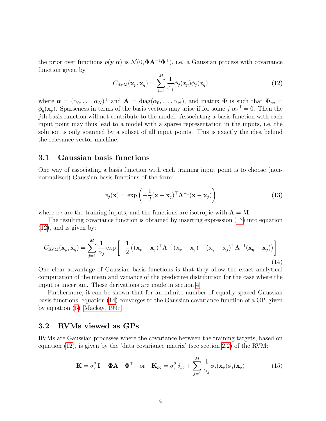the prior over functions  $p(\mathbf{y}|\boldsymbol{\alpha})$  is  $\mathcal{N}(0, \boldsymbol{\Phi} \mathbf{A}^{-1} \boldsymbol{\Phi}^{\top})$ , i.e. a Gaussian process with covariance function given by

<span id="page-3-1"></span>
$$
C_{\text{RVM}}(\mathbf{x}_p, \mathbf{x}_q) = \sum_{j=1}^{M} \frac{1}{\alpha_j} \phi_j(x_p) \phi_j(x_q)
$$
(12)

where  $\boldsymbol{\alpha} = (\alpha_0, \ldots, \alpha_N)^\top$  and  $\mathbf{A} = \text{diag}(\alpha_0, \ldots, \alpha_N)$ , and matrix  $\boldsymbol{\Phi}$  is such that  $\boldsymbol{\Phi}_{pq} =$  $\phi_q(\mathbf{x}_p)$ . Sparseness in terms of the basis vectors may arise if for some j  $\alpha_j^{-1} = 0$ . Then the jth basis function will not contribute to the model. Associating a basis function with each input point may thus lead to a model with a sparse representation in the inputs, i.e. the solution is only spanned by a subset of all input points. This is exactly the idea behind the relevance vector machine.

## 3.1 Gaussian basis functions

One way of associating a basis function with each training input point is to choose (nonnormalized) Gaussian basis functions of the form:

<span id="page-3-2"></span><span id="page-3-0"></span>
$$
\phi_j(\mathbf{x}) = \exp\left(-\frac{1}{2}(\mathbf{x} - \mathbf{x}_j)^{\top} \mathbf{\Lambda}^{-1}(\mathbf{x} - \mathbf{x}_j)\right)
$$
(13)

where  $x_i$  are the training inputs, and the functions are isotropic with  $\Lambda = \lambda I$ .

The resulting covariance function is obtained by inserting expression [\(13\)](#page-3-0) into equation [\(12\)](#page-3-1), and is given by:

$$
C_{\text{RVM}}(\mathbf{x}_p, \mathbf{x}_q) = \sum_{j=1}^{M} \frac{1}{\alpha_j} \exp\left[ -\frac{1}{2} \left( (\mathbf{x}_p - \mathbf{x}_j)^{\top} \boldsymbol{\Lambda}^{-1} (\mathbf{x}_p - \mathbf{x}_j) + (\mathbf{x}_q - \mathbf{x}_j)^{\top} \boldsymbol{\Lambda}^{-1} (\mathbf{x}_q - \mathbf{x}_j) \right) \right]
$$
(14)

One clear advantage of Gaussian basis functions is that they allow the exact analytical computation of the mean and variance of the predictive distribution for the case where the input is uncertain. These derivations are made in section [4.](#page-4-0)

Furthermore, it can be shown that for an infinite number of equally spaced Gaussian basis functions, equation [\(14\)](#page-3-2) converges to the Gaussian covariance function of a GP, given by equation [\(5\)](#page-1-3) [\[Mackay, 1997\]](#page-13-3).

## 3.2 RVMs viewed as GPs

RVMs are Gaussian processes where the covariance between the training targets, based on equation  $(12)$ , is given by the 'data covariance matrix' (see section [2.2\)](#page-2-1) of the RVM:

$$
\mathbf{K} = \sigma_{\epsilon}^2 \mathbf{I} + \mathbf{\Phi} \mathbf{A}^{-1} \mathbf{\Phi}^{\top} \quad \text{or} \quad \mathbf{K}_{pq} = \sigma_{\epsilon}^2 \delta_{pq} + \sum_{j=1}^{M} \frac{1}{\alpha_j} \phi_j(\mathbf{x}_p) \phi_j(\mathbf{x}_q)
$$
(15)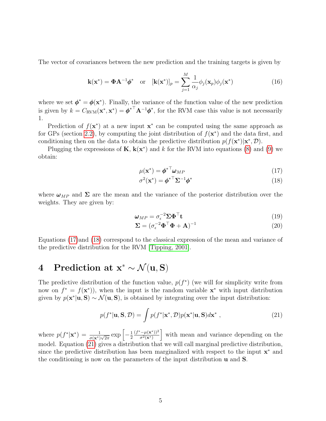The vector of covariances between the new prediction and the training targets is given by

$$
\mathbf{k}(\mathbf{x}^*) = \mathbf{\Phi} \mathbf{A}^{-1} \boldsymbol{\phi}^* \quad \text{or} \quad [\mathbf{k}(\mathbf{x}^*)]_p = \sum_{j=1}^M \frac{1}{\alpha_j} \phi_j(\mathbf{x}_p) \phi_j(\mathbf{x}^*) \tag{16}
$$

where we set  $\phi^* = \phi(\mathbf{x}^*)$ . Finally, the variance of the function value of the new prediction is given by  $k = C_{\text{RVM}}(\mathbf{x}^*, \mathbf{x}^*) = \boldsymbol{\phi}^{*T} \mathbf{A}^{-1} \boldsymbol{\phi}^*$ , for the RVM case this value is not necessarily 1.

Prediction of  $f(\mathbf{x}^*)$  at a new input  $\mathbf{x}^*$  can be computed using the same approach as for GPs (section [2.2\)](#page-2-1), by computing the joint distribution of  $f(\mathbf{x}^*)$  and the data first, and conditioning then on the data to obtain the predictive distribution  $p(f(\mathbf{x}^*)|\mathbf{x}^*, \mathcal{D})$ .

Plugging the expressions of  $\mathbf{K}, \mathbf{k}(\mathbf{x}^*)$  and k for the RVM into equations [\(8\)](#page-2-2) and [\(9\)](#page-2-2) we obtain:

$$
\mu(\mathbf{x}^*) = \boldsymbol{\phi}^{*T} \boldsymbol{\omega}_{MP} \tag{17}
$$

<span id="page-4-1"></span>
$$
\sigma^2(\mathbf{x}^*) = {\boldsymbol{\phi}^*}^\top \boldsymbol{\Sigma}^{-1} {\boldsymbol{\phi}^*} \tag{18}
$$

where  $\omega_{MP}$  and  $\Sigma$  are the mean and the variance of the posterior distribution over the weights. They are given by:

$$
\omega_{MP} = \sigma_{\epsilon}^{-2} \Sigma \Phi^{\top} \mathbf{t}
$$
 (19)

<span id="page-4-3"></span><span id="page-4-2"></span>
$$
\Sigma = (\sigma_{\epsilon}^{-2} \Phi^{\top} \Phi + \mathbf{A})^{-1} \tag{20}
$$

Equations [\(17\)](#page-4-1)and [\(18\)](#page-4-1) correspond to the classical expression of the mean and variance of the predictive distribution for the RVM [\[Tipping, 2001\]](#page-13-1).

# <span id="page-4-0"></span>4 Prediction at  $x^* \sim \mathcal{N}(u, S)$

The predictive distribution of the function value,  $p(f^*)$  (we will for simplicity write from now on  $f^* = f(\mathbf{x}^*)$ , when the input is the random variable  $\mathbf{x}^*$  with input distribution given by  $p(\mathbf{x}^*|\mathbf{u}, \mathbf{S}) \sim \mathcal{N}(\mathbf{u}, \mathbf{S})$ , is obtained by integrating over the input distribution:

$$
p(f^*|\mathbf{u}, \mathbf{S}, \mathcal{D}) = \int p(f^*|\mathbf{x}^*, \mathcal{D}) p(\mathbf{x}^*|\mathbf{u}, \mathbf{S}) d\mathbf{x}^*,
$$
 (21)

where  $p(f^*|\mathbf{x}^*) = \frac{1}{\sigma(\mathbf{x}^*)\sqrt{2\pi}} \exp\left[-\frac{1}{2}\right]$ 2  $(f^* - \mu(\mathbf{x}^*))^2$  $\left[\frac{(-\mu(\mathbf{x}^*))^2}{\sigma^2(\mathbf{x}^*)}\right]$  with mean and variance depending on the model. Equation [\(21\)](#page-4-2) gives a distribution that we will call marginal predictive distribution, since the predictive distribution has been marginalized with respect to the input  $\mathbf{x}^*$  and the conditioning is now on the parameters of the input distribution u and S.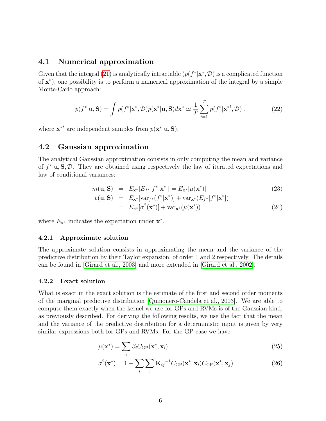## 4.1 Numerical approximation

Given that the integral [\(21\)](#page-4-2) is analytically intractable  $(p(f^*|\mathbf{x}^*, \mathcal{D})$  is a complicated function of  $x^*$ ), one possibility is to perform a numerical approximation of the integral by a simple Monte-Carlo approach:

$$
p(f^*|\mathbf{u}, \mathbf{S}) = \int p(f^*|\mathbf{x}^*, \mathcal{D}) p(\mathbf{x}^*|\mathbf{u}, \mathbf{S}) d\mathbf{x}^* \simeq \frac{1}{T} \sum_{t=1}^T p(f^*|\mathbf{x}^{*t}, \mathcal{D}) ,
$$
 (22)

where  $\mathbf{x}^*$  are independent samples from  $p(\mathbf{x}^*|\mathbf{u}, \mathbf{S})$ .

## 4.2 Gaussian approximation

The analytical Gaussian approximation consists in only computing the mean and variance of  $f^*|\mathbf{u}, \mathbf{S}, \mathcal{D}$ . They are obtained using respectively the law of iterated expectations and law of conditional variances:

$$
m(\mathbf{u}, \mathbf{S}) = E_{\mathbf{x}^*}[E_{f^*}[f^*|\mathbf{x}^*]] = E_{\mathbf{x}^*}[\mu(\mathbf{x}^*)]
$$
(23)

$$
v(\mathbf{u}, \mathbf{S}) = E_{\mathbf{x}^*}[\text{var}_{f^*}(f^*|\mathbf{x}^*)] + \text{var}_{\mathbf{x}^*}(E_{f^*}[f^*|\mathbf{x}^*])
$$
  
=  $E_{\mathbf{x}^*}[\sigma^2(\mathbf{x}^*)] + \text{var}_{\mathbf{x}^*}(\mu(\mathbf{x}^*))$  (24)

where  $E_{\mathbf{x}^*}$  indicates the expectation under  $\mathbf{x}^*$ .

#### 4.2.1 Approximate solution

The approximate solution consists in approximating the mean and the variance of the predictive distribution by their Taylor expansion, of order 1 and 2 respectively. The details can be found in [\[Girard et al., 2003\]](#page-13-4) and more extended in [\[Girard et al., 2002\]](#page-13-5).

#### 4.2.2 Exact solution

What is exact in the exact solution is the estimate of the first and second order moments of the marginal predictive distribution [Quiñonero-Candela et al., 2003]. We are able to compute them exactly when the kernel we use for GPs and RVMs is of the Gaussian kind, as previously described. For deriving the following results, we use the fact that the mean and the variance of the predictive distribution for a deterministic input is given by very similar expressions both for GPs and RVMs. For the GP case we have:

<span id="page-5-0"></span>
$$
\mu(\mathbf{x}^*) = \sum_{i} \beta_i C_{GP}(\mathbf{x}^*, \mathbf{x}_i)
$$
\n(25)

$$
\sigma^2(\mathbf{x}^*) = 1 - \sum_{i} \sum_{j} \mathbf{K}_{ij}^{-1} C_{GP}(\mathbf{x}^*, \mathbf{x}_i) C_{GP}(\mathbf{x}^*, \mathbf{x}_j)
$$
(26)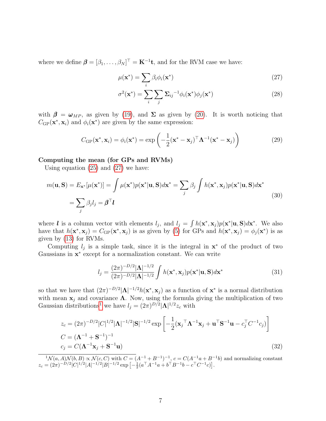where we define  $\boldsymbol{\beta} = [\beta_1, \dots, \beta_N]^\top = \mathbf{K}^{-1} \mathbf{t}$ , and for the RVM case we have:

<span id="page-6-0"></span>
$$
\mu(\mathbf{x}^*) = \sum_i \beta_i \phi_i(\mathbf{x}^*)
$$
\n(27)

$$
\sigma^2(\mathbf{x}^*) = \sum_{i} \sum_{j} \Sigma_{ij}^{-1} \phi_i(\mathbf{x}^*) \phi_j(\mathbf{x}^*)
$$
\n(28)

with  $\beta = \omega_{MP}$ , as given by [\(19\)](#page-4-3), and  $\Sigma$  as given by [\(20\)](#page-4-3). It is worth noticing that  $C_{\text{GP}}(\mathbf{x}^*, \mathbf{x}_i)$  and  $\phi_i(\mathbf{x}^*)$  are given by the same expression:

<span id="page-6-2"></span>
$$
C_{\text{GP}}(\mathbf{x}^*, \mathbf{x}_i) = \phi_i(\mathbf{x}^*) = \exp\left(-\frac{1}{2}(\mathbf{x}^* - \mathbf{x}_j)^{\top} \mathbf{\Lambda}^{-1}(\mathbf{x}^* - \mathbf{x}_j)\right)
$$
(29)

#### Computing the mean (for GPs and RVMs)

Using equation [\(25\)](#page-5-0) and [\(27\)](#page-6-0) we have:

$$
m(\mathbf{u}, \mathbf{S}) = E_{\mathbf{x}^*}[\mu(\mathbf{x}^*)] = \int \mu(\mathbf{x}^*)p(\mathbf{x}^*|\mathbf{u}, \mathbf{S})d\mathbf{x}^* = \sum_j \beta_j \int h(\mathbf{x}^*, \mathbf{x}_j)p(\mathbf{x}^*|\mathbf{u}, \mathbf{S})d\mathbf{x}^*
$$
  
= 
$$
\sum_j \beta_j l_j = \beta^\top \mathbf{l}
$$
 (30)

where *l* is a column vector with elements  $l_j$ , and  $l_j = \int h(\mathbf{x}^*, \mathbf{x}_j) p(\mathbf{x}^* | \mathbf{u}, \mathbf{S}) d\mathbf{x}^*$ . We also have that  $h(\mathbf{x}^*, \mathbf{x}_j) = C_{\text{GP}}(\mathbf{x}^*, \mathbf{x}_j)$  is as given by [\(5\)](#page-1-3) for GPs and  $h(\mathbf{x}^*, \mathbf{x}_j) = \phi_j(\mathbf{x}^*)$  is as given by [\(13\)](#page-3-0) for RVMs.

Computing  $l_j$  is a simple task, since it is the integral in  $\mathbf{x}^*$  of the product of two Gaussians in  $x^*$  except for a normalization constant. We can write

$$
l_j = \frac{(2\pi)^{-D/2} |\Lambda|^{-1/2}}{(2\pi)^{-D/2} |\Lambda|^{-1/2}} \int h(\mathbf{x}^*, \mathbf{x}_j) p(\mathbf{x}^* | \mathbf{u}, \mathbf{S}) d\mathbf{x}^*
$$
(31)

so that we have that  $(2\pi)^{-D/2} |\Lambda|^{-1/2} h(\mathbf{x}^*, \mathbf{x}_j)$  as a function of  $\mathbf{x}^*$  is a normal distribution with mean  $x_i$  and covariance  $\Lambda$ . Now, using the formula giving the multiplication of two Gaussian distributions<sup>[1](#page-6-1)</sup> we have  $l_j = (2\pi)^{D/2} |\mathbf{\Lambda}|^{1/2} z_c$  with

<span id="page-6-3"></span>
$$
z_c = (2\pi)^{-D/2} |C|^{1/2} |\mathbf{\Lambda}|^{-1/2} |\mathbf{S}|^{-1/2} \exp\left[ -\frac{1}{2} (\mathbf{x}_j^\top \mathbf{\Lambda}^{-1} \mathbf{x}_j + \mathbf{u}^\top \mathbf{S}^{-1} \mathbf{u} - c_j^\top C^{-1} c_j) \right]
$$
  
\n
$$
C = (\mathbf{\Lambda}^{-1} + \mathbf{S}^{-1})^{-1}
$$
  
\n
$$
c_j = C(\mathbf{\Lambda}^{-1} \mathbf{x}_j + \mathbf{S}^{-1} \mathbf{u})
$$
\n(32)

<span id="page-6-1"></span> ${}^1\mathcal{N}(a, A)\mathcal{N}(b, B) \propto \mathcal{N}(c, C)$  with  $C = (A^{-1} + B^{-1})^{-1}$ ,  $c = C(A^{-1}a + B^{-1}b)$  and normalizing constant  $z_c = (2\pi)^{-D/2} |C|^{1/2} |A|^{-1/2} |B|^{-1/2} \exp \left[ -\frac{1}{2} (a^{\top} A^{-1} a + b^{\top} B^{-1} b - c^{\top} C^{-1} c) \right].$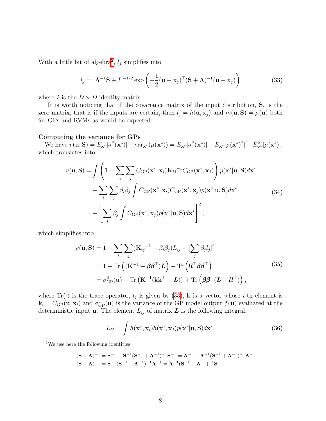With a little bit of algebra<sup>[2](#page-7-0)</sup>,  $l_j$  simplifies into

<span id="page-7-1"></span>
$$
l_j = |\mathbf{\Lambda}^{-1} \mathbf{S} + I|^{-1/2} \exp\left(-\frac{1}{2}(\mathbf{u} - \mathbf{x}_j)^{\top} (\mathbf{S} + \mathbf{\Lambda})^{-1} (\mathbf{u} - \mathbf{x}_j)\right)
$$
(33)

where I is the  $D \times D$  identity matrix.

It is worth noticing that if the covariance matrix of the input distribution, S, is the zero matrix, that is if the inputs are certain, then  $l_j = h(\mathbf{u}, \mathbf{x}_j)$  and  $m(\mathbf{u}, \mathbf{S}) = \mu(\mathbf{u})$  both for GPs and RVMs as would be expected.

#### Computing the variance for GPs

We have  $v(\mathbf{u}, \mathbf{S}) = E_{\mathbf{x}^*}[\sigma^2(\mathbf{x}^*)] + \text{var}_{\mathbf{x}^*}(\mu(\mathbf{x}^*)) = E_{\mathbf{x}^*}[\sigma^2(\mathbf{x}^*)] + E_{\mathbf{x}^*}[\mu(\mathbf{x}^*)^2] - E_{\mathbf{x}^*}^2[\mu(\mathbf{x}^*)],$ which translates into

$$
v(\mathbf{u}, \mathbf{S}) = \int \left(1 - \sum_{i} \sum_{j} C_{GP}(\mathbf{x}^*, \mathbf{x}_i) \mathbf{K}_{ij}^{-1} C_{GP}(\mathbf{x}^*, \mathbf{x}_j) \right) p(\mathbf{x}^* | \mathbf{u}, \mathbf{S}) d\mathbf{x}^*
$$
  
+ 
$$
\sum_{i} \sum_{j} \beta_i \beta_j \int C_{GP}(\mathbf{x}^*, \mathbf{x}_i) C_{GP}(\mathbf{x}^*, \mathbf{x}_j) p(\mathbf{x}^* | \mathbf{u}, \mathbf{S}) d\mathbf{x}^*
$$
(34)  
- 
$$
\left[ \sum_{j} \beta_j \int C_{GP}(\mathbf{x}^*, \mathbf{x}_j) p(\mathbf{x}^* | \mathbf{u}, \mathbf{S}) d\mathbf{x}^* \right]^2,
$$

which simplifies into

<span id="page-7-2"></span>
$$
v(\mathbf{u}, \mathbf{S}) = 1 - \sum_{i} \sum_{j} (\mathbf{K}_{ij}^{-1} - \beta_{i}\beta_{j}) L_{ij} - [\sum_{j} \beta_{j}l_{j}]^{2}
$$
  
= 1 - \text{Tr} ((\mathbf{K}^{-1} - \boldsymbol{\beta}\boldsymbol{\beta}^{\top})\mathbf{L}) - \text{Tr} (U^{\top}\boldsymbol{\beta}\boldsymbol{\beta}^{\top})  
= \sigma\_{\text{GP}}^{2}(\mathbf{u}) + \text{Tr} (\mathbf{K}^{-1}(\mathbf{k}\mathbf{k}^{\top} - \mathbf{L})) + \text{Tr} (\boldsymbol{\beta}\boldsymbol{\beta}^{\top}(\mathbf{L} - \mathbf{U}^{\top})) , \qquad (35)

where Tr( $\cdot$ ) is the trace operator,  $l_j$  is given by [\(33\)](#page-7-1), **k** is a vector whose *i*-th element is  $\mathbf{k}_i = C_{\text{GP}}(\mathbf{u}, \mathbf{x}_i)$  and  $\sigma_{\text{GP}}^2(\mathbf{u})$  is the variance of the GP model output  $f(\mathbf{u})$  evaluated at the deterministic input **u**. The element  $L_{ij}$  of matrix  $\boldsymbol{L}$  is the following integral:

$$
L_{ij} = \int h(\mathbf{x}^*, \mathbf{x}_i) h(\mathbf{x}^*, \mathbf{x}_j) p(\mathbf{x}^* | \mathbf{u}, \mathbf{S}) d\mathbf{x}^*.
$$
 (36)

$$
\begin{aligned} &({\bf S}+\bm{\Lambda})^{-1}={\bf S}^{-1}-{\bf S}^{-1}({\bf S}^{-1}+\bm{\Lambda}^{-1})^{-1}{\bf S}^{-1}=\bm{\Lambda}^{-1}-\bm{\Lambda}^{-1}({\bf S}^{-1}+\bm{\Lambda}^{-1})^{-1}\bm{\Lambda}^{-1}\\ &({\bf S}+\bm{\Lambda})^{-1}={\bf S}^{-1}({\bf S}^{-1}+\bm{\Lambda}^{-1})^{-1}\bm{\Lambda}^{-1}=\bm{\Lambda}^{-1}({\bf S}^{-1}+\bm{\Lambda}^{-1})^{-1}{\bf S}^{-1} \end{aligned}
$$

<span id="page-7-0"></span><sup>&</sup>lt;sup>2</sup>We use here the following identities: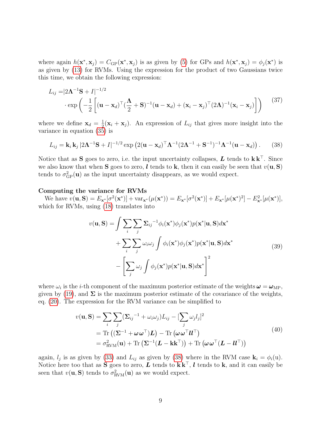where again  $h(\mathbf{x}^*, \mathbf{x}_j) = C_{\text{GP}}(\mathbf{x}^*, \mathbf{x}_j)$  is as given by [\(5\)](#page-1-3) for GPs and  $h(\mathbf{x}^*, \mathbf{x}_j) = \phi_j(\mathbf{x}^*)$  is as given by [\(13\)](#page-3-0) for RVMs. Using the expression for the product of two Gaussians twice this time, we obtain the following expression:

$$
L_{ij} = |2\mathbf{\Lambda}^{-1}\mathbf{S} + I|^{-1/2}
$$

$$
\cdot \exp\left(-\frac{1}{2}\left[ (\mathbf{u} - \mathbf{x}_d)^{\top} (\frac{\mathbf{\Lambda}}{2} + \mathbf{S})^{-1} (\mathbf{u} - \mathbf{x}_d) + (\mathbf{x}_i - \mathbf{x}_j)^{\top} (2\mathbf{\Lambda})^{-1} (\mathbf{x}_i - \mathbf{x}_j) \right] \right)
$$
(37)

where we define  $\mathbf{x}_d = \frac{1}{2}$  $\frac{1}{2}(\mathbf{x}_i + \mathbf{x}_j)$ . An expression of  $L_{ij}$  that gives more insight into the variance in equation [\(35\)](#page-7-2) is

<span id="page-8-0"></span>
$$
L_{ij} = \mathbf{k}_i \mathbf{k}_j \left| 2\mathbf{\Lambda}^{-1} \mathbf{S} + I \right|^{-1/2} \exp \left( 2(\mathbf{u} - \mathbf{x}_d)^{\top} \mathbf{\Lambda}^{-1} (2\mathbf{\Lambda}^{-1} + \mathbf{S}^{-1})^{-1} \mathbf{\Lambda}^{-1} (\mathbf{u} - \mathbf{x}_d) \right). \tag{38}
$$

Notice that as S goes to zero, i.e. the input uncertainty collapses, L tends to  $\mathbf{k}\mathbf{k}^{\top}$ . Since we also know that when S goes to zero, l tends to k, then it can easily be seen that  $v(\mathbf{u}, \mathbf{S})$ tends to  $\sigma_{\text{GP}}^2(\mathbf{u})$  as the input uncertainty disappears, as we would expect.

#### Computing the variance for RVMs

We have  $v(\mathbf{u}, \mathbf{S}) = E_{\mathbf{x}^*}[\sigma^2(\mathbf{x}^*)] + \text{var}_{\mathbf{x}^*}(\mu(\mathbf{x}^*)) = E_{\mathbf{x}^*}[\sigma^2(\mathbf{x}^*)] + E_{\mathbf{x}^*}[\mu(\mathbf{x}^*)^2] - E_{\mathbf{x}^*}^2[\mu(\mathbf{x}^*)],$ which for RVMs, using  $(18)$  translates into

$$
v(\mathbf{u}, \mathbf{S}) = \int \sum_{i} \sum_{j} \sum_{ij}^{-1} \phi_{i}(\mathbf{x}^{*}) \phi_{j}(\mathbf{x}^{*}) p(\mathbf{x}^{*}|\mathbf{u}, \mathbf{S}) d\mathbf{x}^{*} + \sum_{i} \sum_{j} \omega_{i} \omega_{j} \int \phi_{i}(\mathbf{x}^{*}) \phi_{j}(\mathbf{x}^{*}) p(\mathbf{x}^{*}|\mathbf{u}, \mathbf{S}) d\mathbf{x}^{*} - \left[ \sum_{j} \omega_{j} \int \phi_{j}(\mathbf{x}^{*}) p(\mathbf{x}^{*}|\mathbf{u}, \mathbf{S}) d\mathbf{x}^{*} \right]^{2}
$$
(39)

where  $\omega_i$  is the *i*-th component of the maximum posterior estimate of the weights  $\omega = \omega_{\text{MP}}$ , given by  $(19)$ , and  $\Sigma$  is the maximum posterior estimate of the covariance of the weights, eq. [\(20\)](#page-4-3). The expression for the RVM variance can be simplified to

<span id="page-8-1"></span>
$$
v(\mathbf{u}, \mathbf{S}) = \sum_{i} \sum_{j} (\Sigma_{ij}^{-1} + \omega_i \omega_j) L_{ij} - [\sum_{j} \omega_j l_j]^2
$$
  
= Tr ((\Sigma^{-1} + \omega \omega^{\top})L) - Tr (\omega \omega^{\top} l l^{\top})  
=  $\sigma_{\text{RVM}}^2(\mathbf{u}) + \text{Tr} (\Sigma^{-1}(\mathbf{L} - \mathbf{k} \mathbf{k}^{\top})) + \text{Tr} (\omega \omega^{\top} (\mathbf{L} - l l^{\top}))$  (40)

again,  $l_j$  is as given by [\(33\)](#page-7-1) and  $L_{ij}$  as given by [\(38\)](#page-8-0) where in the RVM case  $\mathbf{k}_i = \phi_i(\mathbf{u})$ . Notice here too that as S goes to zero, L tends to  $\mathbf{k}\mathbf{k}^{\top}$ , l tends to  $\mathbf{k}$ , and it can easily be seen that  $v(\mathbf{u}, \mathbf{S})$  tends to  $\sigma_{\text{RVM}}^2(\mathbf{u})$  as we would expect.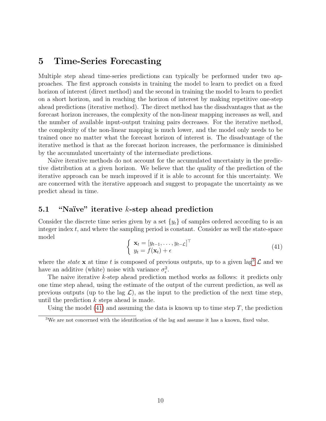# <span id="page-9-0"></span>5 Time-Series Forecasting

Multiple step ahead time-series predictions can typically be performed under two approaches. The first approach consists in training the model to learn to predict on a fixed horizon of interest (direct method) and the second in training the model to learn to predict on a short horizon, and in reaching the horizon of interest by making repetitive one-step ahead predictions (iterative method). The direct method has the disadvantages that as the forecast horizon increases, the complexity of the non-linear mapping increases as well, and the number of available input-output training pairs decreases. For the iterative method, the complexity of the non-linear mapping is much lower, and the model only needs to be trained once no matter what the forecast horizon of interest is. The disadvantage of the iterative method is that as the forecast horizon increases, the performance is diminished by the accumulated uncertainty of the intermediate predictions.

Naïve iterative methods do not account for the accumulated uncertainty in the predictive distribution at a given horizon. We believe that the quality of the prediction of the iterative approach can be much improved if it is able to account for this uncertainty. We are concerned with the iterative approach and suggest to propagate the uncertainty as we predict ahead in time.

# 5.1 "Naïve" iterative  $k$ -step ahead prediction

<span id="page-9-2"></span>Consider the discrete time series given by a set  $\{y_t\}$  of samples ordered according to is an integer index  $t$ , and where the sampling period is constant. Consider as well the state-space model

$$
\begin{cases} \mathbf{x}_t = [y_{t-1}, \dots, y_{t-\mathcal{L}}]^\top \\ y_t = f(\mathbf{x}_t) + \epsilon \end{cases}
$$
\n(41)

where the *state* x at time t is composed of previous outputs, up to a given lag<sup>[3](#page-9-1)</sup>  $\mathcal L$  and we have an additive (white) noise with variance  $\sigma_{\epsilon}^2$ .

The naive iterative k-step ahead prediction method works as follows: it predicts only one time step ahead, using the estimate of the output of the current prediction, as well as previous outputs (up to the lag  $\mathcal{L}$ ), as the input to the prediction of the next time step, until the prediction k steps ahead is made.

Using the model  $(41)$  and assuming the data is known up to time step T, the prediction

<span id="page-9-1"></span><sup>&</sup>lt;sup>3</sup>We are not concerned with the identification of the lag and assume it has a known, fixed value.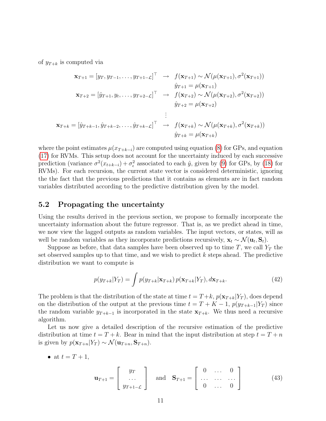of  $y_{T+k}$  is computed via

$$
\mathbf{x}_{T+1} = [y_T, y_{T-1}, \dots, y_{T+1-\mathcal{L}}]^\top \rightarrow f(\mathbf{x}_{T+1}) \sim \mathcal{N}(\mu(\mathbf{x}_{T+1}), \sigma^2(\mathbf{x}_{T+1}))
$$
  
\n
$$
\hat{y}_{T+1} = \mu(\mathbf{x}_{T+1})
$$
  
\n
$$
\mathbf{x}_{T+2} = [\hat{y}_{T+1}, y_t, \dots, y_{T+2-\mathcal{L}}]^\top \rightarrow f(\mathbf{x}_{T+2}) \sim \mathcal{N}(\mu(\mathbf{x}_{T+2}), \sigma^2(\mathbf{x}_{T+2}))
$$
  
\n
$$
\hat{y}_{T+2} = \mu(\mathbf{x}_{T+2})
$$
  
\n:  
\n:  
\n
$$
\mathbf{x}_{T+k} = [\hat{y}_{T+k-1}, \hat{y}_{T+k-2}, \dots, \hat{y}_{T+k-\mathcal{L}}]^\top \rightarrow f(\mathbf{x}_{T+k}) \sim \mathcal{N}(\mu(\mathbf{x}_{T+k}), \sigma^2(\mathbf{x}_{T+k}))
$$
  
\n
$$
\hat{y}_{T+k} = \mu(\mathbf{x}_{T+k})
$$

where the point estimates  $\mu(x_{T+k-i})$  are computed using equation [\(8\)](#page-2-2) for GPs, and equation [\(17\)](#page-4-1) for RVMs. This setup does not account for the uncertainty induced by each successive prediction (variance  $\sigma^2(x_{t+k-i}) + \sigma_\epsilon^2$  associated to each  $\hat{y}$ , given by [\(9\)](#page-2-2) for GPs, by [\(18\)](#page-4-1) for RVMs). For each recursion, the current state vector is considered deterministic, ignoring the the fact that the previous predictions that it contains as elements are in fact random variables distributed according to the predictive distribution given by the model.

## 5.2 Propagating the uncertainty

Using the results derived in the previous section, we propose to formally incorporate the uncertainty information about the future regressor. That is, as we predict ahead in time, we now view the lagged outputs as random variables. The input vectors, or states, will as well be random variables as they incorporate predictions recursively,  $\mathbf{x}_t \sim \mathcal{N}(\mathbf{u}_t, \mathbf{S}_t)$ .

Suppose as before, that data samples have been observed up to time T, we call  $Y_T$  the set observed samples up to that time, and we wish to predict  $k$  steps ahead. The predictive distribution we want to compute is

$$
p(y_{T+k}|Y_T) = \int p(y_{T+k}|\mathbf{x}_{T+k}) p(\mathbf{x}_{T+k}|Y_T), d\mathbf{x}_{T+k}.
$$
\n(42)

The problem is that the distribution of the state at time  $t = T + k$ ,  $p(\mathbf{x}_{T+k}|Y_T)$ , does depend on the distribution of the output at the previous time  $t = T + K - 1$ ,  $p(y_{T+k-1}|Y_T)$  since the random variable  $y_{T+k-1}$  is incorporated in the state  $\mathbf{x}_{T+k}$ . We thus need a recursive algorithm.

Let us now give a detailed description of the recursive estimation of the predictive distribution at time  $t = T + k$ . Bear in mind that the input distribution at step  $t = T + n$ is given by  $p(\mathbf{x}_{T+n}|Y_T) \sim \mathcal{N}(\mathbf{u}_{T+n}, \mathbf{S}_{T+n}).$ 

• at 
$$
t = T + 1
$$
,

$$
\mathbf{u}_{T+1} = \begin{bmatrix} y_T \\ \dots \\ y_{T+1-\mathcal{L}} \end{bmatrix} \quad \text{and} \quad \mathbf{S}_{T+1} = \begin{bmatrix} 0 & \dots & 0 \\ \dots & \dots & \dots \\ 0 & \dots & 0 \end{bmatrix}
$$
(43)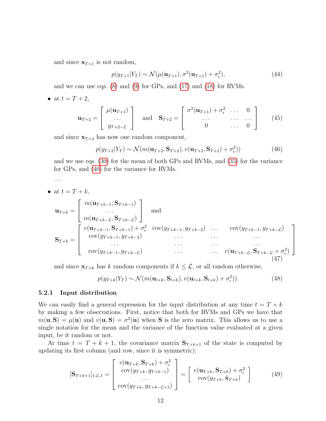and since  $x_{T+1}$  is not random,

$$
p(y_{T+1}|Y_T) \sim \mathcal{N}(\mu(\mathbf{u}_{T+1}), \sigma^2(\mathbf{u}_{T+1}) + \sigma_\epsilon^2),
$$
\n(44)

and we can use eqs. [\(8\)](#page-2-2) and [\(9\)](#page-2-2) for GPs, and [\(17\)](#page-4-1) and [\(18\)](#page-4-1) for RVMs.

• at  $t = T + 2$ ,

$$
\mathbf{u}_{T+2} = \begin{bmatrix} \mu(\mathbf{u}_{T+1}) \\ \dots \\ y_{T+2-\mathcal{L}} \end{bmatrix} \text{ and } \mathbf{S}_{T+2} = \begin{bmatrix} \sigma^2(\mathbf{u}_{T+1}) + \sigma_\epsilon^2 & \dots & 0 \\ \dots & \dots & \dots \\ 0 & \dots & 0 \end{bmatrix} \tag{45}
$$

and since  $x_{T+2}$  has now one random component,

$$
p(y_{T+2}|Y_T) \sim \mathcal{N}(m(\mathbf{u}_{T+2}, \mathbf{S}_{T+2}), v(\mathbf{u}_{T+2}, \mathbf{S}_{T+2}) + \sigma_{\epsilon}^2))
$$
(46)

and we use eqs. [\(30\)](#page-6-2) for the mean of both GPs and RVMs, and [\(35\)](#page-7-2) for the variance for GPs, and [\(40\)](#page-8-1) for the variance for RVMs.

- . . .
- at  $t = T + k$ ,  $\mathbf{u}_{T+k} =$  $\lceil$  $\overline{1}$  $m(\mathbf{u}_{T+k-1}, \mathbf{S}_{T+k-1})$ . . .  $m(\mathbf{u}_{T+k-\mathcal{L}},\mathbf{S}_{T+k-\mathcal{L}})$ 1 | and  $\mathrm{S}_{T+k} =$  $\sqrt{ }$  $\Big\}$  $v(\mathbf{u}_{T+k-1}, \mathbf{S}_{T+k-1}) + \sigma_{\epsilon}^2 \quad \text{cov}(y_{T+k-1}, y_{T+k-2}) \quad \dots \quad \text{cov}(y_{T+k-1}, y_{T+k-\mathcal{L}})$ cov(y<sup>T</sup> <sup>+</sup>k−1, y<sup>T</sup> <sup>+</sup>k−2) . . . . . . . . . . . . . . . . . . . . .  $cov(y_{T+k-1}, y_{T+k-\mathcal{L}})$  ...  $v(\mathbf{u}_{T+k-\mathcal{L}}, \mathbf{S}_{T+k-\mathcal{L}} + \sigma_{\epsilon}^2)$ (47)

and since  $\mathbf{x}_{T+k}$  has k random components if  $k \leq \mathcal{L}$ , or all random otherwise,

$$
p(y_{T+k}|Y_T) \sim \mathcal{N}(m(\mathbf{u}_{t+k}, \mathbf{S}_{t+k}), v(\mathbf{u}_{t+k}, \mathbf{S}_{t+k}) + \sigma_{\epsilon}^2)).
$$
\n(48)

1

 $\begin{array}{c} \hline \end{array}$ 

#### 5.2.1 Input distribution

We can easily find a general expression for the input distribution at any time  $t = T + k$ by making a few observations. First, notice that both for RVMs and GPs we have that  $m(\mathbf{u}, \mathbf{S}) = \mu(\mathbf{u})$  and  $v(\mathbf{u}, \mathbf{S}) = \sigma^2(\mathbf{u})$  when **S** is the zero matrix. This allows us to use a single notation for the mean and the variance of the function value evaluated at a given input, be it random or not.

At time  $t = T + k + 1$ , the covariance matrix  $S_{T+k+1}$  of the state is computed by updating its first column (and row, since it is symmetric):

$$
[\mathbf{S}_{T+k+1}]_{1:\mathcal{L},1} = \begin{bmatrix} v(\mathbf{u}_{T+k}, \mathbf{S}_{T+k}) + \sigma_{\epsilon}^2 \\ cov(y_{T+k}, y_{T+k-1}) \\ \cdots \\ cov(y_{T+k}, y_{T+k-\mathcal{L}+1}) \end{bmatrix} = \begin{bmatrix} v(\mathbf{u}_{T+k}, \mathbf{S}_{T+k}) + \sigma_{\epsilon}^2 \\ cov(y_{T+k}, \tilde{\mathbf{x}}_{T+k}) \end{bmatrix}
$$
(49)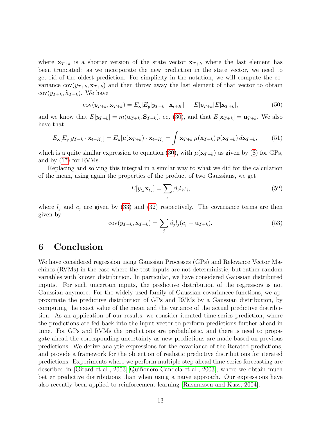where  $\tilde{\mathbf{x}}_{T+k}$  is a shorter version of the state vector  $\mathbf{x}_{T+k}$  where the last element has been truncated: as we incorporate the new prediction in the state vector, we need to get rid of the oldest prediction. For simplicity in the notation, we will compute the covariance  $cov(y_{T+k}, \mathbf{x}_{T+k})$  and then throw away the last element of that vector to obtain  $cov(y_{T+k}, \tilde{\mathbf{x}}_{T+k})$ . We have

$$
cov(y_{T+k}, \mathbf{x}_{T+k}) = E_{\mathbf{x}}[E_y[y_{T+k} \cdot \mathbf{x}_{t+K}]] - E[y_{T+k}]E[\mathbf{x}_{T+k}],
$$
\n(50)

and we know that  $E[y_{T+k}] = m(\mathbf{u}_{T+k}, \mathbf{S}_{T+k})$ , eq. [\(30\)](#page-6-2), and that  $E[\mathbf{x}_{T+k}] = \mathbf{u}_{T+k}$ . We also have that

$$
E_{\mathbf{x}}[E_y[y_{T+k} \cdot \mathbf{x}_{t+K}]] = E_{\mathbf{x}}[\mu(\mathbf{x}_{T+k}) \cdot \mathbf{x}_{t+K}] = \int \mathbf{x}_{T+k} \,\mu(\mathbf{x}_{T+k}) \, p(\mathbf{x}_{T+k}) \, d\mathbf{x}_{T+k},\tag{51}
$$

which is a quite similar expression to equation [\(30\)](#page-6-2), with  $\mu(\mathbf{x}_{T+k})$  as given by [\(8\)](#page-2-2) for GPs, and by [\(17\)](#page-4-1) for RVMs.

Replacing and solving this integral in a similar way to what we did for the calculation of the mean, using again the properties of the product of two Gaussians, we get

$$
E[y_{t_k} \mathbf{x}_{t_k}] = \sum_j \beta_j l_j c_j,\tag{52}
$$

where  $l_j$  and  $c_j$  are given by [\(33\)](#page-7-1) and [\(32\)](#page-6-3) respectively. The covariance terms are then given by

$$
cov(y_{T+k}, \mathbf{x}_{T+k}) = \sum_{j} \beta_j l_j (c_j - \mathbf{u}_{T+k}).
$$
\n(53)

# 6 Conclusion

We have considered regression using Gaussian Processes (GPs) and Relevance Vector Machines (RVMs) in the case where the test inputs are not deterministic, but rather random variables with known distribution. In particular, we have considered Gaussian distributed inputs. For such uncertain inputs, the predictive distribution of the regressors is not Gaussian anymore. For the widely used family of Gaussian covariancee functions, we approximate the predictive distribution of GPs and RVMs by a Gaussian distribution, by computing the exact value of the mean and the variance of the actual predictive distribution. As an application of our results, we consider iterated time-series prediction, where the predictions are fed back into the input vector to perform predictions further ahead in time. For GPs and RVMs the predictions are probabilistic, and there is need to propagate ahead the corresponding uncertainty as new predictions are made based on previous predictions. We derive analytic expressions for the covariance of the iterated predictions, and provide a framework for the obtention of realistic predictive distributions for iterated predictions. Experiments where we perform multiple-step ahead time-series forecasting are described in [\[Girard et al., 2003,](#page-13-4) Quiñonero-Candela et al., 2003], where we obtain much better predictive distributions than when using a naïve approach. Our expressions have also recently been applied to reinforcement learning [\[Rasmussen and Kuss, 2004\]](#page-13-7).